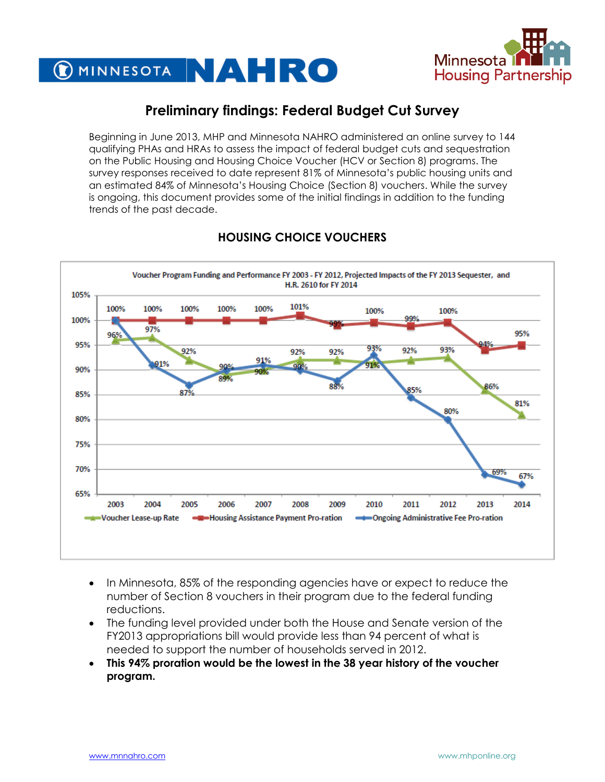



## **Preliminary findings: Federal Budget Cut Survey**

Beginning in June 2013, MHP and Minnesota NAHRO administered an online survey to 144 qualifying PHAs and HRAs to assess the impact of federal budget cuts and sequestration on the Public Housing and Housing Choice Voucher (HCV or Section 8) programs. The survey responses received to date represent 81% of Minnesota's public housing units and an estimated 84% of Minnesota's Housing Choice (Section 8) vouchers. While the survey is ongoing, this document provides some of the initial findings in addition to the funding trends of the past decade.



## **HOUSING CHOICE VOUCHERS**

- In Minnesota, 85% of the responding agencies have or expect to reduce the number of Section 8 vouchers in their program due to the federal funding reductions.
- The funding level provided under both the House and Senate version of the FY2013 appropriations bill would provide less than 94 percent of what is needed to support the number of households served in 2012.
- **This 94% proration would be the lowest in the 38 year history of the voucher program.**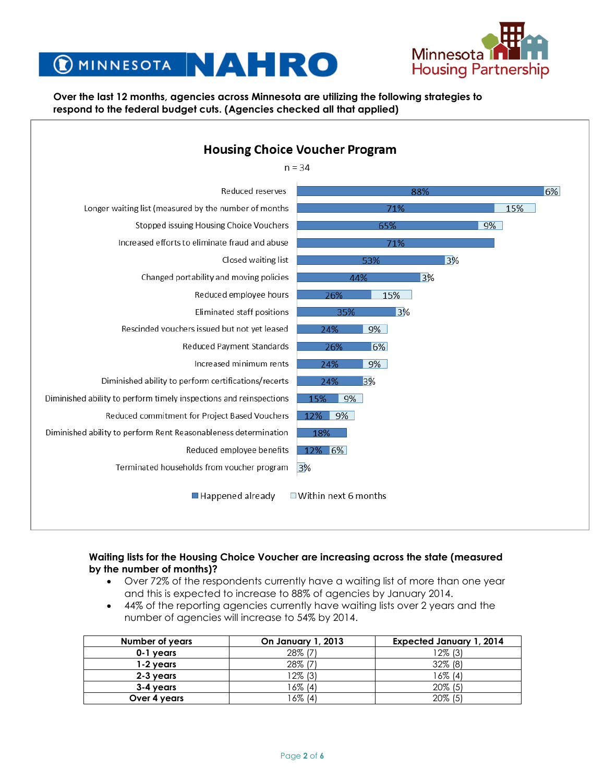

# MINNESOTA NA ERO

#### **Over the last 12 months, agencies across Minnesota are utilizing the following strategies to respond to the federal budget cuts. (Agencies checked all that applied)**



#### **Waiting lists for the Housing Choice Voucher are increasing across the state (measured by the number of months)?**

- Over 72% of the respondents currently have a waiting list of more than one year and this is expected to increase to 88% of agencies by January 2014.
- 44% of the reporting agencies currently have waiting lists over 2 years and the number of agencies will increase to 54% by 2014.

| Number of years | On January 1, 2013 | <b>Expected January 1, 2014</b> |
|-----------------|--------------------|---------------------------------|
| 0-1 years       | 28% (7)            | 12% (3)                         |
| 1-2 years       | 28% (7)            | 32% (8)                         |
| 2-3 years       | 12% (3)            | 16% (4)                         |
| 3-4 years       | 16% (4)            | $20\%$ (5)                      |
| Over 4 years    | 6% (4)             | $20\%$ (5)                      |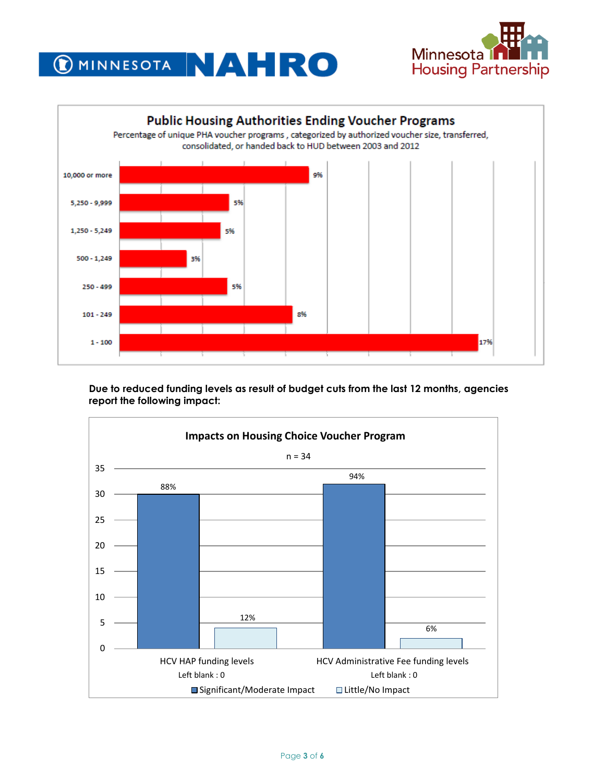





**Due to reduced funding levels as result of budget cuts from the last 12 months, agencies report the following impact:**

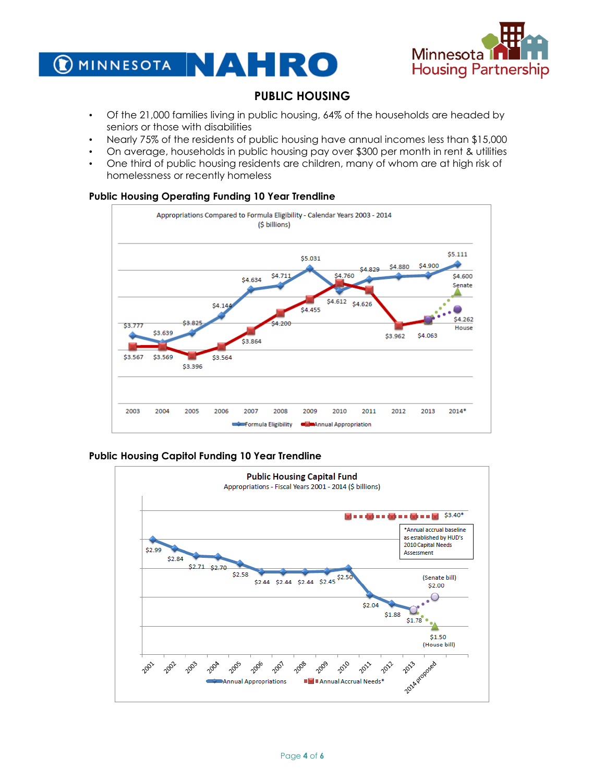



### **PUBLIC HOUSING**

- Of the 21,000 families living in public housing, 64% of the households are headed by seniors or those with disabilities
- Nearly 75% of the residents of public housing have annual incomes less than \$15,000
- On average, households in public housing pay over \$300 per month in rent & utilities
- One third of public housing residents are children, many of whom are at high risk of homelessness or recently homeless

#### **Public Housing Operating Funding 10 Year Trendline**



#### **Public Housing Capitol Funding 10 Year Trendline**

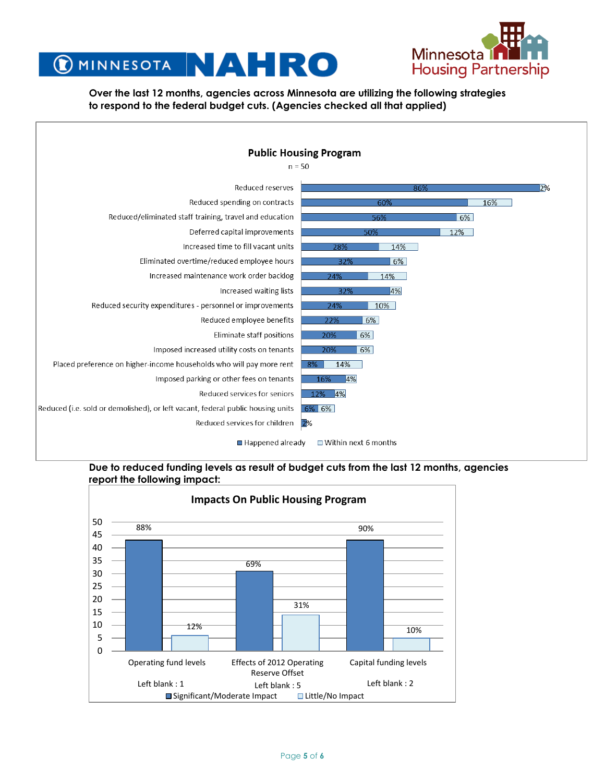

## C MINNESOTA NA HRO

**Over the last 12 months, agencies across Minnesota are utilizing the following strategies to respond to the federal budget cuts. (Agencies checked all that applied)**

| <b>Public Housing Program</b>                                                   |                             |  |  |  |  |  |
|---------------------------------------------------------------------------------|-----------------------------|--|--|--|--|--|
| $n = 50$                                                                        |                             |  |  |  |  |  |
| Reduced reserves                                                                | 2%<br>86%                   |  |  |  |  |  |
| Reduced spending on contracts                                                   | 60%<br>16%                  |  |  |  |  |  |
| Reduced/eliminated staff training, travel and education                         | 56%<br>6%                   |  |  |  |  |  |
| Deferred capital improvements                                                   | 12%<br>50%                  |  |  |  |  |  |
| Increased time to fill vacant units                                             | 14%<br>28%                  |  |  |  |  |  |
| Eliminated overtime/reduced employee hours                                      | 6%<br>32%                   |  |  |  |  |  |
| Increased maintenance work order backlog                                        | 14%<br>24%                  |  |  |  |  |  |
| Increased waiting lists                                                         | 14%<br>32%                  |  |  |  |  |  |
| Reduced security expenditures - personnel or improvements                       | 10%<br>24%                  |  |  |  |  |  |
| Reduced employee benefits                                                       | 6%<br>22%                   |  |  |  |  |  |
| Eliminate staff positions                                                       | 6%<br>20%                   |  |  |  |  |  |
| Imposed increased utility costs on tenants                                      | 6%<br>20%                   |  |  |  |  |  |
| Placed preference on higher-income households who will pay more rent            | 14%<br>8%                   |  |  |  |  |  |
| Imposed parking or other fees on tenants                                        | 4%<br>16%                   |  |  |  |  |  |
| Reduced services for seniors                                                    | 12% 4%                      |  |  |  |  |  |
| Reduced (i.e. sold or demolished), or left vacant, federal public housing units | 6% 6%                       |  |  |  |  |  |
| Reduced services for children 2%                                                |                             |  |  |  |  |  |
| $\blacksquare$ Happened already                                                 | $\Box$ Within next 6 months |  |  |  |  |  |

#### **Due to reduced funding levels as result of budget cuts from the last 12 months, agencies report the following impact:**